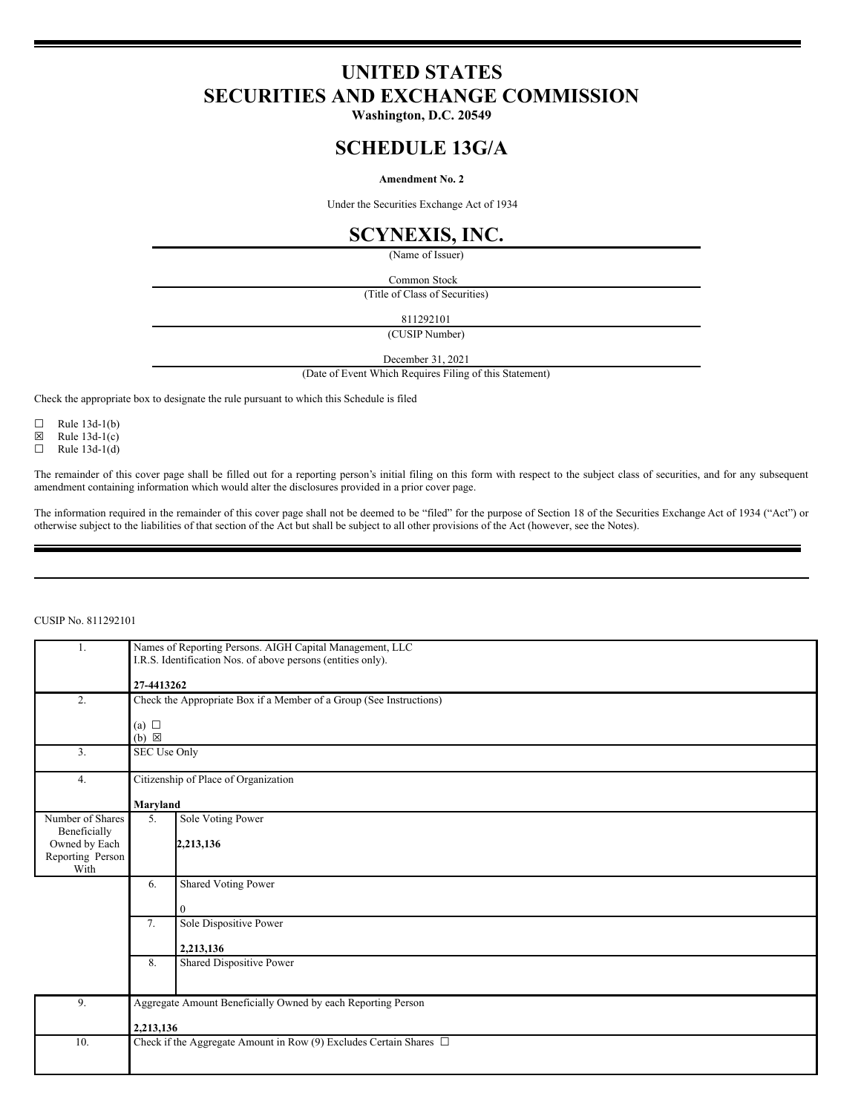# **UNITED STATES SECURITIES AND EXCHANGE COMMISSION**

**Washington, D.C. 20549**

# **SCHEDULE 13G/A**

# **Amendment No. 2**

Under the Securities Exchange Act of 1934

# **SCYNEXIS, INC.**

(Name of Issuer)

Common Stock

(Title of Class of Securities)

811292101

(CUSIP Number)

December 31, 2021

(Date of Event Which Requires Filing of this Statement)

Check the appropriate box to designate the rule pursuant to which this Schedule is filed

 $\Box$  Rule 13d-1(b)

 $\boxtimes$  Rule 13d-1(c)<br>  $\Box$  Rule 13d-1(d)

Rule  $13d-1(d)$ 

The remainder of this cover page shall be filled out for a reporting person's initial filing on this form with respect to the subject class of securities, and for any subsequent amendment containing information which would alter the disclosures provided in a prior cover page.

The information required in the remainder of this cover page shall not be deemed to be "filed" for the purpose of Section 18 of the Securities Exchange Act of 1934 ("Act") or otherwise subject to the liabilities of that section of the Act but shall be subject to all other provisions of the Act (however, see the Notes).

## CUSIP No. 811292101

| 1.               | Names of Reporting Persons. AIGH Capital Management, LLC            |                                                                         |  |  |  |
|------------------|---------------------------------------------------------------------|-------------------------------------------------------------------------|--|--|--|
|                  | I.R.S. Identification Nos. of above persons (entities only).        |                                                                         |  |  |  |
|                  |                                                                     |                                                                         |  |  |  |
|                  |                                                                     | 27-4413262                                                              |  |  |  |
| 2.               | Check the Appropriate Box if a Member of a Group (See Instructions) |                                                                         |  |  |  |
|                  |                                                                     |                                                                         |  |  |  |
|                  | (a) $\Box$                                                          |                                                                         |  |  |  |
|                  | $(b) \boxtimes$                                                     |                                                                         |  |  |  |
| 3.               | <b>SEC Use Only</b>                                                 |                                                                         |  |  |  |
|                  |                                                                     |                                                                         |  |  |  |
| 4.               | Citizenship of Place of Organization                                |                                                                         |  |  |  |
|                  |                                                                     |                                                                         |  |  |  |
|                  | Maryland                                                            |                                                                         |  |  |  |
| Number of Shares | 5.                                                                  | <b>Sole Voting Power</b>                                                |  |  |  |
| Beneficially     |                                                                     |                                                                         |  |  |  |
| Owned by Each    |                                                                     | 2,213,136                                                               |  |  |  |
| Reporting Person |                                                                     |                                                                         |  |  |  |
| With             |                                                                     |                                                                         |  |  |  |
|                  |                                                                     |                                                                         |  |  |  |
|                  | 6.                                                                  | Shared Voting Power                                                     |  |  |  |
|                  |                                                                     |                                                                         |  |  |  |
|                  |                                                                     | $\overline{0}$                                                          |  |  |  |
|                  | 7.                                                                  | Sole Dispositive Power                                                  |  |  |  |
|                  |                                                                     |                                                                         |  |  |  |
|                  |                                                                     | 2,213,136                                                               |  |  |  |
|                  | 8.                                                                  | Shared Dispositive Power                                                |  |  |  |
|                  |                                                                     |                                                                         |  |  |  |
|                  |                                                                     |                                                                         |  |  |  |
| 9.               |                                                                     | Aggregate Amount Beneficially Owned by each Reporting Person            |  |  |  |
|                  |                                                                     |                                                                         |  |  |  |
|                  | 2,213,136                                                           |                                                                         |  |  |  |
| 10.              |                                                                     | Check if the Aggregate Amount in Row (9) Excludes Certain Shares $\Box$ |  |  |  |
|                  |                                                                     |                                                                         |  |  |  |
|                  |                                                                     |                                                                         |  |  |  |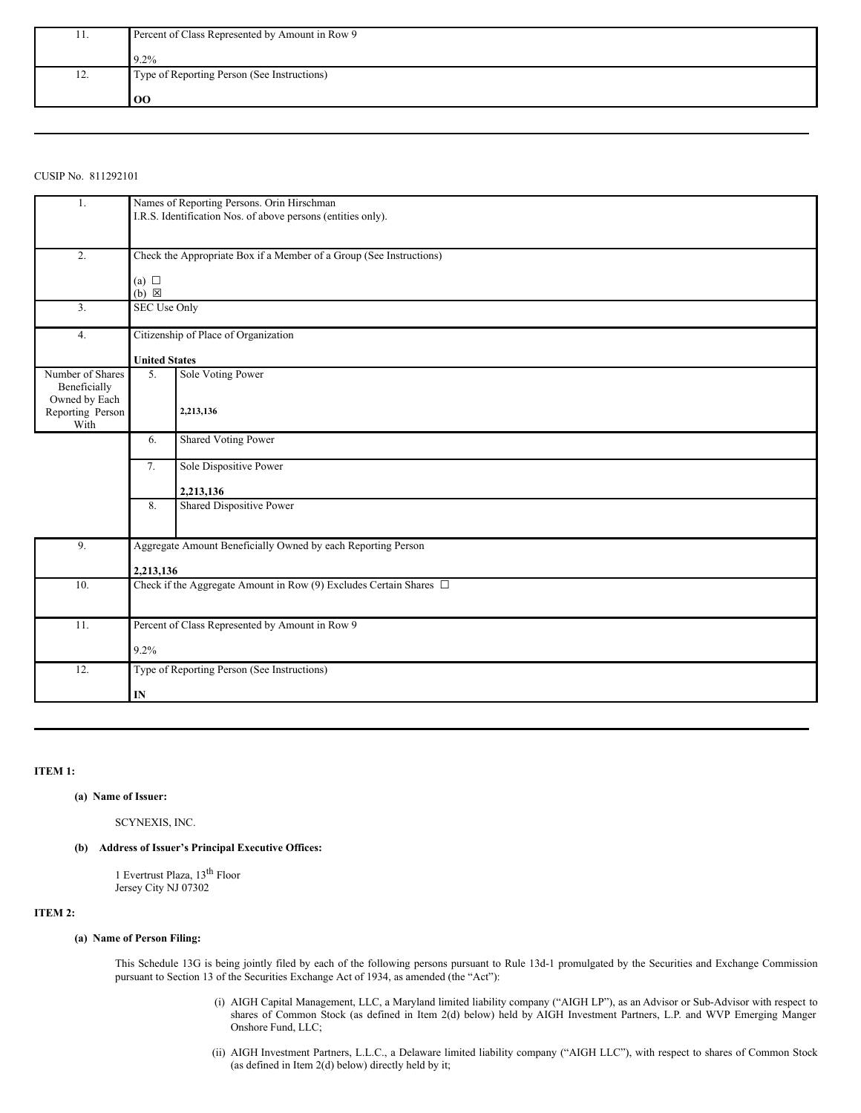| 11. | Percent of Class Represented by Amount in Row 9 |  |  |
|-----|-------------------------------------------------|--|--|
|     | $9.2\%$                                         |  |  |
| 12. | Type of Reporting Person (See Instructions)     |  |  |
|     | 00                                              |  |  |

# CUSIP No. 811292101

| 1.                                        | Names of Reporting Persons. Orin Hirschman<br>I.R.S. Identification Nos. of above persons (entities only). |                                                 |  |  |
|-------------------------------------------|------------------------------------------------------------------------------------------------------------|-------------------------------------------------|--|--|
| 2.                                        | Check the Appropriate Box if a Member of a Group (See Instructions)                                        |                                                 |  |  |
|                                           | (a) $\Box$<br>$(b) \boxtimes$                                                                              |                                                 |  |  |
| 3.                                        | SEC Use Only                                                                                               |                                                 |  |  |
| 4.                                        | Citizenship of Place of Organization                                                                       |                                                 |  |  |
|                                           | <b>United States</b>                                                                                       |                                                 |  |  |
| Number of Shares<br>Beneficially          | 5.                                                                                                         | Sole Voting Power                               |  |  |
| Owned by Each<br>Reporting Person<br>With |                                                                                                            | 2,213,136                                       |  |  |
|                                           | 6.                                                                                                         | <b>Shared Voting Power</b>                      |  |  |
|                                           | 7.                                                                                                         | Sole Dispositive Power                          |  |  |
|                                           |                                                                                                            | 2,213,136                                       |  |  |
|                                           | 8.                                                                                                         | Shared Dispositive Power                        |  |  |
| 9.                                        | Aggregate Amount Beneficially Owned by each Reporting Person                                               |                                                 |  |  |
|                                           | 2,213,136                                                                                                  |                                                 |  |  |
| 10.                                       | Check if the Aggregate Amount in Row (9) Excludes Certain Shares $\Box$                                    |                                                 |  |  |
| 11.                                       |                                                                                                            | Percent of Class Represented by Amount in Row 9 |  |  |
|                                           | 9.2%                                                                                                       |                                                 |  |  |
| 12.                                       | Type of Reporting Person (See Instructions)                                                                |                                                 |  |  |
|                                           | IN                                                                                                         |                                                 |  |  |

## **ITEM 1:**

## **(a) Name of Issuer:**

SCYNEXIS, INC.

## **(b) Address of Issuer's Principal Executive Offices:**

1 Evertrust Plaza, 13 th Floor Jersey City NJ 07302

# **ITEM 2:**

## **(a) Name of Person Filing:**

This Schedule 13G is being jointly filed by each of the following persons pursuant to Rule 13d-1 promulgated by the Securities and Exchange Commission pursuant to Section 13 of the Securities Exchange Act of 1934, as amended (the "Act"):

- (i) AIGH Capital Management, LLC, a Maryland limited liability company ("AIGH LP"), as an Advisor or Sub-Advisor with respect to shares of Common Stock (as defined in Item 2(d) below) held by AIGH Investment Partners, L.P. and WVP Emerging Manger Onshore Fund, LLC;
- (ii) AIGH Investment Partners, L.L.C., a Delaware limited liability company ("AIGH LLC"), with respect to shares of Common Stock (as defined in Item 2(d) below) directly held by it;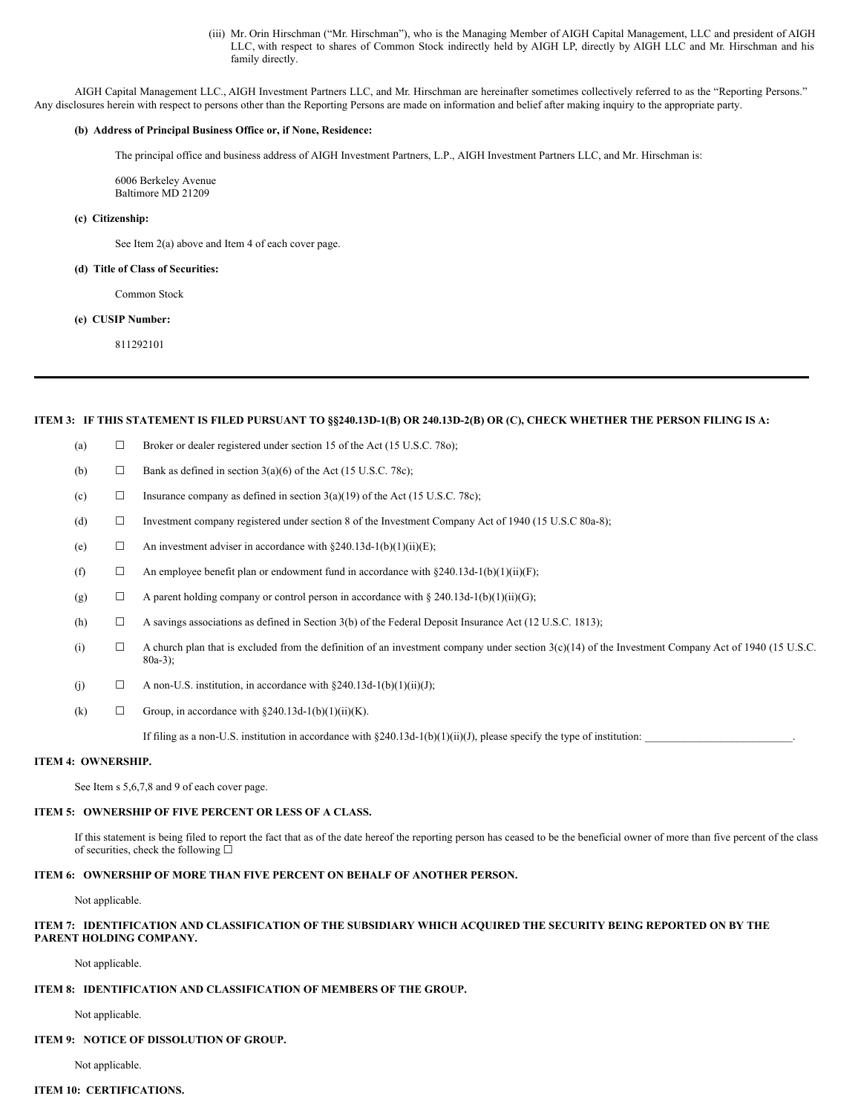(iii) Mr. Orin Hirschman ("Mr. Hirschman"), who is the Managing Member of AIGH Capital Management, LLC and president of AIGH LLC, with respect to shares of Common Stock indirectly held by AIGH LP, directly by AIGH LLC and Mr. Hirschman and his family directly.

AIGH Capital Management LLC., AIGH Investment Partners LLC, and Mr. Hirschman are hereinafter sometimes collectively referred to as the "Reporting Persons." Any disclosures herein with respect to persons other than the Reporting Persons are made on information and belief after making inquiry to the appropriate party.

## **(b) Address of Principal Business Office or, if None, Residence:**

The principal office and business address of AIGH Investment Partners, L.P., AIGH Investment Partners LLC, and Mr. Hirschman is:

6006 Berkeley Avenue Baltimore MD 21209

## **(c) Citizenship:**

See Item 2(a) above and Item 4 of each cover page.

#### **(d) Title of Class of Securities:**

Common Stock

### **(e) CUSIP Number:**

811292101

### ITEM 3: IF THIS STATEMENT IS FILED PURSUANT TO §§240.13D-1(B) OR 240.13D-2(B) OR (C), CHECK WHETHER THE PERSON FILING IS A:

- (a)  $\Box$  Broker or dealer registered under section 15 of the Act (15 U.S.C. 780);
- (b)  $\Box$  Bank as defined in section 3(a)(6) of the Act (15 U.S.C. 78c);
- (c)  $\Box$  Insurance company as defined in section 3(a)(19) of the Act (15 U.S.C. 78c);
- (d) ☐ Investment company registered under section 8 of the Investment Company Act of 1940 (15 U.S.C 80a-8);
- (e)  $\Box$  An investment adviser in accordance with §240.13d-1(b)(1)(ii)(E);
- (f)  $\Box$  An employee benefit plan or endowment fund in accordance with §240.13d-1(b)(1)(ii)(F);
- (g)  $\Box$  A parent holding company or control person in accordance with § 240.13d-1(b)(1)(ii)(G);
- (h)  $\Box$  A savings associations as defined in Section 3(b) of the Federal Deposit Insurance Act (12 U.S.C. 1813);
- (i)  $\Box$  A church plan that is excluded from the definition of an investment company under section  $3(c)(14)$  of the Investment Company Act of 1940 (15 U.S.C. 80a-3);
- (j)  $\Box$  A non-U.S. institution, in accordance with §240.13d-1(b)(1)(ii)(J);
- (k)  $\Box$  Group, in accordance with §240.13d-1(b)(1)(ii)(K).

If filing as a non-U.S. institution in accordance with  $\S 240.13d-1(b)(1)(ii)(J)$ , please specify the type of institution:

#### **ITEM 4: OWNERSHIP.**

See Item s 5,6,7,8 and 9 of each cover page.

#### **ITEM 5: OWNERSHIP OF FIVE PERCENT OR LESS OF A CLASS.**

If this statement is being filed to report the fact that as of the date hereof the reporting person has ceased to be the beneficial owner of more than five percent of the class of securities, check the following  $□$ 

### **ITEM 6: OWNERSHIP OF MORE THAN FIVE PERCENT ON BEHALF OF ANOTHER PERSON.**

Not applicable.

## ITEM 7: IDENTIFICATION AND CLASSIFICATION OF THE SUBSIDIARY WHICH ACQUIRED THE SECURITY BEING REPORTED ON BY THE **PARENT HOLDING COMPANY.**

Not applicable.

## **ITEM 8: IDENTIFICATION AND CLASSIFICATION OF MEMBERS OF THE GROUP.**

Not applicable.

#### **ITEM 9: NOTICE OF DISSOLUTION OF GROUP.**

Not applicable.

## **ITEM 10: CERTIFICATIONS.**